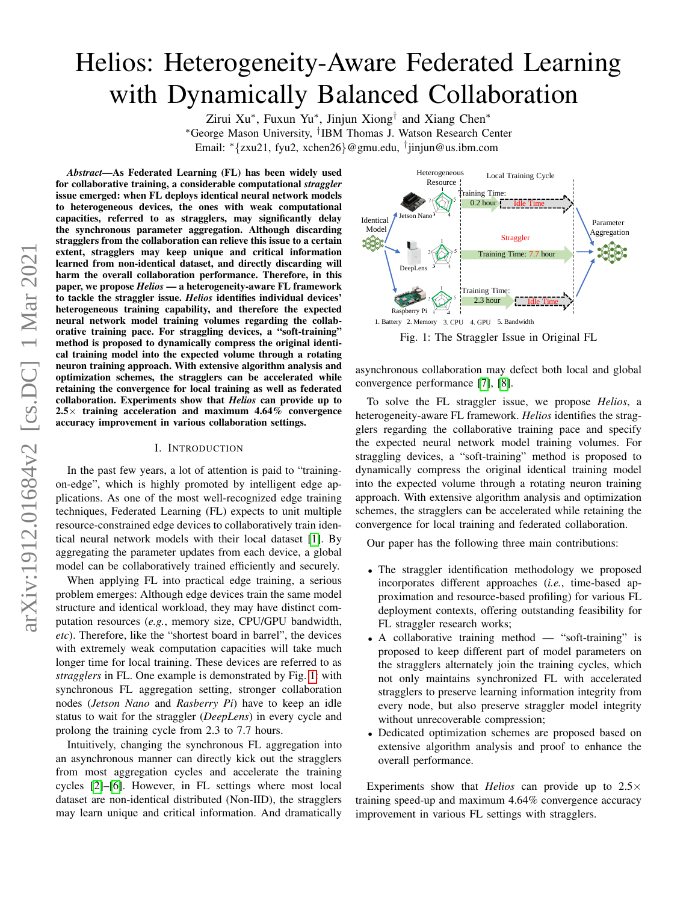# <span id="page-0-1"></span>Helios: Heterogeneity-Aware Federated Learning with Dynamically Balanced Collaboration

Zirui Xu<sup>∗</sup>, Fuxun Yu<sup>∗</sup>, Jinjun Xiong<sup>†</sup> and Xiang Chen<sup>∗</sup> <sup>∗</sup>George Mason University, † IBM Thomas J. Watson Research Center Email: <sup>∗</sup>{zxu21, fyu2, xchen26}@gmu.edu, † jinjun@us.ibm.com

*Abstract*—As Federated Learning (FL) has been widely used for collaborative training, a considerable computational *straggler* issue emerged: when FL deploys identical neural network models to heterogeneous devices, the ones with weak computational capacities, referred to as stragglers, may significantly delay the synchronous parameter aggregation. Although discarding stragglers from the collaboration can relieve this issue to a certain extent, stragglers may keep unique and critical information learned from non-identical dataset, and directly discarding will harm the overall collaboration performance. Therefore, in this paper, we propose *Helios* — a heterogeneity-aware FL framework to tackle the straggler issue. *Helios* identifies individual devices' heterogeneous training capability, and therefore the expected neural network model training volumes regarding the collaborative training pace. For straggling devices, a "soft-training" method is proposed to dynamically compress the original identical training model into the expected volume through a rotating neuron training approach. With extensive algorithm analysis and optimization schemes, the stragglers can be accelerated while retaining the convergence for local training as well as federated collaboration. Experiments show that *Helios* can provide up to  $2.5\times$  training acceleration and maximum 4.64% convergence accuracy improvement in various collaboration settings.

#### I. INTRODUCTION

In the past few years, a lot of attention is paid to "trainingon-edge", which is highly promoted by intelligent edge applications. As one of the most well-recognized edge training techniques, Federated Learning (FL) expects to unit multiple resource-constrained edge devices to collaboratively train identical neural network models with their local dataset [\[1\]](#page-5-0). By aggregating the parameter updates from each device, a global model can be collaboratively trained efficiently and securely.

When applying FL into practical edge training, a serious problem emerges: Although edge devices train the same model structure and identical workload, they may have distinct computation resources (*e.g.*, memory size, CPU/GPU bandwidth, *etc*). Therefore, like the "shortest board in barrel", the devices with extremely weak computation capacities will take much longer time for local training. These devices are referred to as *stragglers* in FL. One example is demonstrated by Fig. [1:](#page-0-0) with synchronous FL aggregation setting, stronger collaboration nodes (*Jetson Nano* and *Rasberry Pi*) have to keep an idle status to wait for the straggler (*DeepLens*) in every cycle and prolong the training cycle from 2.3 to 7.7 hours.

Intuitively, changing the synchronous FL aggregation into an asynchronous manner can directly kick out the stragglers from most aggregation cycles and accelerate the training cycles [\[2\]](#page-5-1)–[\[6\]](#page-5-2). However, in FL settings where most local dataset are non-identical distributed (Non-IID), the stragglers may learn unique and critical information. And dramatically

<span id="page-0-0"></span>

Fig. 1: The Straggler Issue in Original FL

asynchronous collaboration may defect both local and global convergence performance [\[7\]](#page-5-3), [\[8\]](#page-5-4).

To solve the FL straggler issue, we propose *Helios*, a heterogeneity-aware FL framework. *Helios* identifies the stragglers regarding the collaborative training pace and specify the expected neural network model training volumes. For straggling devices, a "soft-training" method is proposed to dynamically compress the original identical training model into the expected volume through a rotating neuron training approach. With extensive algorithm analysis and optimization schemes, the stragglers can be accelerated while retaining the convergence for local training and federated collaboration.

Our paper has the following three main contributions:

- The straggler identification methodology we proposed incorporates different approaches (*i.e.*, time-based approximation and resource-based profiling) for various FL deployment contexts, offering outstanding feasibility for FL straggler research works;
- A collaborative training method "soft-training" is proposed to keep different part of model parameters on the stragglers alternately join the training cycles, which not only maintains synchronized FL with accelerated stragglers to preserve learning information integrity from every node, but also preserve straggler model integrity without unrecoverable compression;
- Dedicated optimization schemes are proposed based on extensive algorithm analysis and proof to enhance the overall performance.

Experiments show that *Helios* can provide up to 2.5× training speed-up and maximum 4.64% convergence accuracy improvement in various FL settings with stragglers.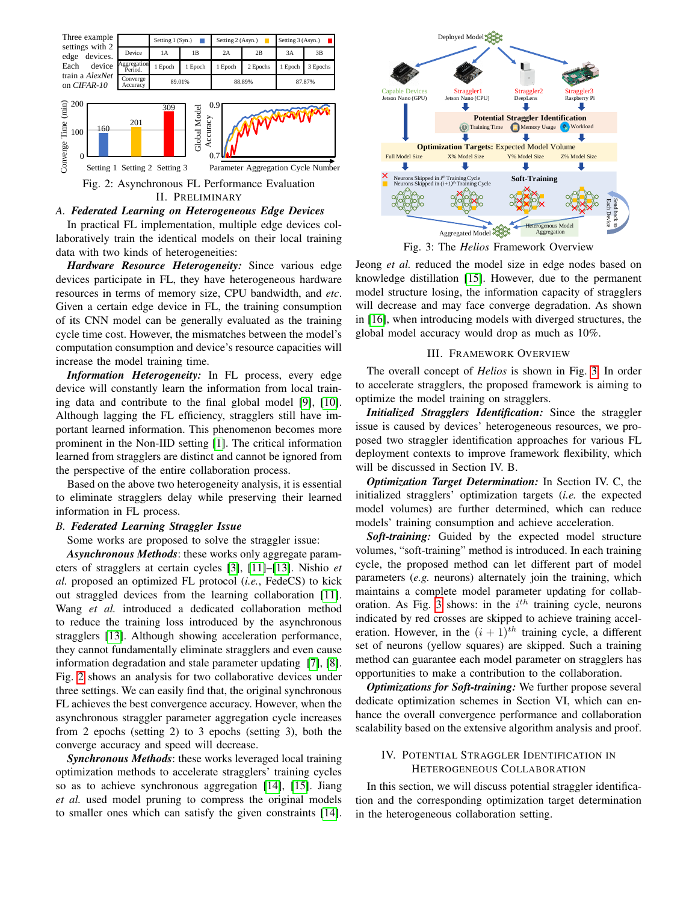<span id="page-1-0"></span>

## *A. Federated Learning on Heterogeneous Edge Devices*

In practical FL implementation, multiple edge devices collaboratively train the identical models on their local training data with two kinds of heterogeneities:

*Hardware Resource Heterogeneity:* Since various edge devices participate in FL, they have heterogeneous hardware resources in terms of memory size, CPU bandwidth, and *etc*. Given a certain edge device in FL, the training consumption of its CNN model can be generally evaluated as the training cycle time cost. However, the mismatches between the model's computation consumption and device's resource capacities will increase the model training time.

*Information Heterogeneity:* In FL process, every edge device will constantly learn the information from local training data and contribute to the final global model [\[9\]](#page-5-5), [\[10\]](#page-5-6). Although lagging the FL efficiency, stragglers still have important learned information. This phenomenon becomes more prominent in the Non-IID setting [\[1\]](#page-5-0). The critical information learned from stragglers are distinct and cannot be ignored from the perspective of the entire collaboration process.

Based on the above two heterogeneity analysis, it is essential to eliminate stragglers delay while preserving their learned information in FL process.

## *B. Federated Learning Straggler Issue*

Some works are proposed to solve the straggler issue:

*Asynchronous Methods*: these works only aggregate parameters of stragglers at certain cycles [\[3\]](#page-5-7), [\[11\]](#page-5-8)–[\[13\]](#page-5-9). Nishio *et al.* proposed an optimized FL protocol (*i.e.*, FedeCS) to kick out straggled devices from the learning collaboration [\[11\]](#page-5-8). Wang *et al.* introduced a dedicated collaboration method to reduce the training loss introduced by the asynchronous stragglers [\[13\]](#page-5-9). Although showing acceleration performance, they cannot fundamentally eliminate stragglers and even cause information degradation and stale parameter updating [\[7\]](#page-5-3), [\[8\]](#page-5-4). Fig. [2](#page-1-0) shows an analysis for two collaborative devices under three settings. We can easily find that, the original synchronous FL achieves the best convergence accuracy. However, when the asynchronous straggler parameter aggregation cycle increases from 2 epochs (setting 2) to 3 epochs (setting 3), both the converge accuracy and speed will decrease.

*Synchronous Methods*: these works leveraged local training optimization methods to accelerate stragglers' training cycles so as to achieve synchronous aggregation [\[14\]](#page-5-10), [\[15\]](#page-5-11). Jiang *et al.* used model pruning to compress the original models to smaller ones which can satisfy the given constraints [\[14\]](#page-5-10).

<span id="page-1-1"></span>

Fig. 3: The *Helios* Framework Overview

Jeong *et al.* reduced the model size in edge nodes based on knowledge distillation [\[15\]](#page-5-11). However, due to the permanent model structure losing, the information capacity of stragglers will decrease and may face converge degradation. As shown in [\[16\]](#page-5-12), when introducing models with diverged structures, the global model accuracy would drop as much as 10%.

## III. FRAMEWORK OVERVIEW

The overall concept of *Helios* is shown in Fig. [3.](#page-1-1) In order to accelerate stragglers, the proposed framework is aiming to optimize the model training on stragglers.

*Initialized Stragglers Identification:* Since the straggler issue is caused by devices' heterogeneous resources, we proposed two straggler identification approaches for various FL deployment contexts to improve framework flexibility, which will be discussed in Section IV. B.

*Optimization Target Determination:* In Section IV. C, the initialized stragglers' optimization targets (*i.e.* the expected model volumes) are further determined, which can reduce models' training consumption and achieve acceleration.

*Soft-training:* Guided by the expected model structure volumes, "soft-training" method is introduced. In each training cycle, the proposed method can let different part of model parameters (*e.g.* neurons) alternately join the training, which maintains a complete model parameter updating for collab-oration. As Fig. [3](#page-1-1) shows: in the  $i^{th}$  training cycle, neurons indicated by red crosses are skipped to achieve training acceleration. However, in the  $(i + 1)^{th}$  training cycle, a different set of neurons (yellow squares) are skipped. Such a training method can guarantee each model parameter on stragglers has opportunities to make a contribution to the collaboration.

*Optimizations for Soft-training:* We further propose several dedicate optimization schemes in Section VI, which can enhance the overall convergence performance and collaboration scalability based on the extensive algorithm analysis and proof.

# IV. POTENTIAL STRAGGLER IDENTIFICATION IN HETEROGENEOUS COLLABORATION

In this section, we will discuss potential straggler identification and the corresponding optimization target determination in the heterogeneous collaboration setting.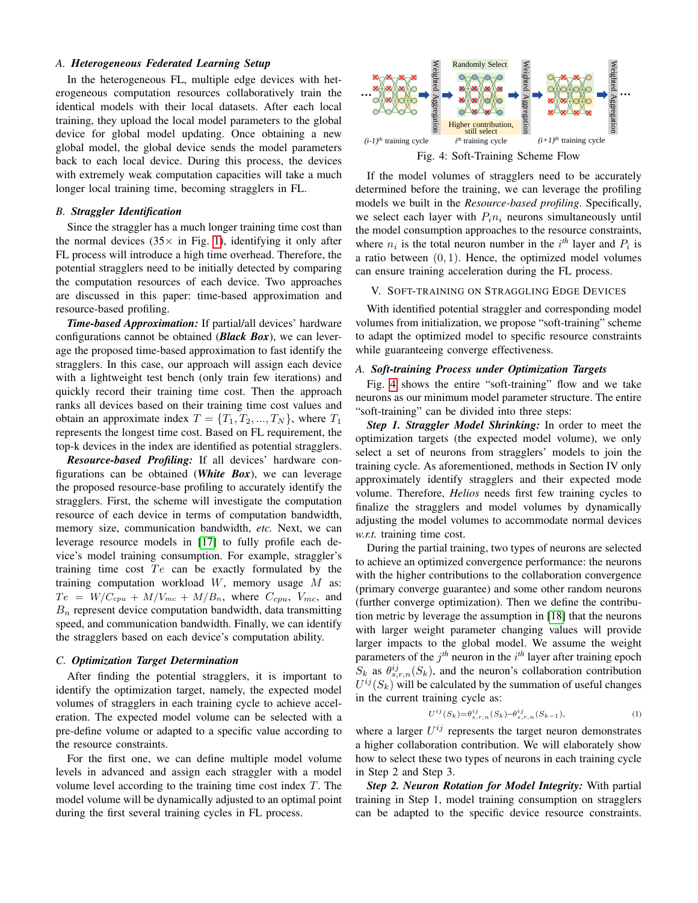#### *A. Heterogeneous Federated Learning Setup*

In the heterogeneous FL, multiple edge devices with heterogeneous computation resources collaboratively train the identical models with their local datasets. After each local training, they upload the local model parameters to the global device for global model updating. Once obtaining a new global model, the global device sends the model parameters back to each local device. During this process, the devices with extremely weak computation capacities will take a much longer local training time, becoming stragglers in FL.

## *B. Straggler Identification*

Since the straggler has a much longer training time cost than the normal devices  $(35 \times \text{in Fig. 1})$ , identifying it only after FL process will introduce a high time overhead. Therefore, the potential stragglers need to be initially detected by comparing the computation resources of each device. Two approaches are discussed in this paper: time-based approximation and resource-based profiling.

*Time-based Approximation:* If partial/all devices' hardware configurations cannot be obtained (*Black Box*), we can leverage the proposed time-based approximation to fast identify the stragglers. In this case, our approach will assign each device with a lightweight test bench (only train few iterations) and quickly record their training time cost. Then the approach ranks all devices based on their training time cost values and obtain an approximate index  $T = \{T_1, T_2, ..., T_N\}$ , where  $T_1$ represents the longest time cost. Based on FL requirement, the top-k devices in the index are identified as potential stragglers.

*Resource-based Profiling:* If all devices' hardware configurations can be obtained (*White Box*), we can leverage the proposed resource-base profiling to accurately identify the stragglers. First, the scheme will investigate the computation resource of each device in terms of computation bandwidth, memory size, communication bandwidth, *etc.* Next, we can leverage resource models in [\[17\]](#page-5-13) to fully profile each device's model training consumption. For example, straggler's training time cost  $Te$  can be exactly formulated by the training computation workload  $W$ , memory usage  $M$  as:  $Te = W/C_{cpu} + M/V_{mc} + M/B_n$ , where  $C_{cpu}$ ,  $V_{mc}$ , and  $B_n$  represent device computation bandwidth, data transmitting speed, and communication bandwidth. Finally, we can identify the stragglers based on each device's computation ability.

#### *C. Optimization Target Determination*

After finding the potential stragglers, it is important to identify the optimization target, namely, the expected model volumes of stragglers in each training cycle to achieve acceleration. The expected model volume can be selected with a pre-define volume or adapted to a specific value according to the resource constraints.

For the first one, we can define multiple model volume levels in advanced and assign each straggler with a model volume level according to the training time cost index T. The model volume will be dynamically adjusted to an optimal point during the first several training cycles in FL process.

<span id="page-2-0"></span>

If the model volumes of stragglers need to be accurately determined before the training, we can leverage the profiling models we built in the *Resource-based profiling*. Specifically, we select each layer with  $P_i n_i$  neurons simultaneously until the model consumption approaches to the resource constraints, where  $n_i$  is the total neuron number in the  $i<sup>th</sup>$  layer and  $P_i$  is a ratio between  $(0, 1)$ . Hence, the optimized model volumes can ensure training acceleration during the FL process.

#### V. SOFT-TRAINING ON STRAGGLING EDGE DEVICES

With identified potential straggler and corresponding model volumes from initialization, we propose "soft-training" scheme to adapt the optimized model to specific resource constraints while guaranteeing converge effectiveness.

## *A. Soft-training Process under Optimization Targets*

Fig. [4](#page-2-0) shows the entire "soft-training" flow and we take neurons as our minimum model parameter structure. The entire "soft-training" can be divided into three steps:

*Step 1. Straggler Model Shrinking:* In order to meet the optimization targets (the expected model volume), we only select a set of neurons from stragglers' models to join the training cycle. As aforementioned, methods in Section IV only approximately identify stragglers and their expected mode volume. Therefore, *Helios* needs first few training cycles to finalize the stragglers and model volumes by dynamically adjusting the model volumes to accommodate normal devices *w.r.t.* training time cost.

During the partial training, two types of neurons are selected to achieve an optimized convergence performance: the neurons with the higher contributions to the collaboration convergence (primary converge guarantee) and some other random neurons (further converge optimization). Then we define the contribution metric by leverage the assumption in [\[18\]](#page-5-14) that the neurons with larger weight parameter changing values will provide larger impacts to the global model. We assume the weight parameters of the  $j<sup>th</sup>$  neuron in the  $i<sup>th</sup>$  layer after training epoch  $S_k$  as  $\theta_{s,r,n}^{ij}(S_k)$ , and the neuron's collaboration contribution  $U^{ij}(S_k)$  will be calculated by the summation of useful changes in the current training cycle as:

$$
U^{ij}(S_k) = \theta_{s,r,n}^{ij}(S_k) - \theta_{s,r,n}^{ij}(S_{k-1}),
$$
\n(1)

where a larger  $U^{ij}$  represents the target neuron demonstrates a higher collaboration contribution. We will elaborately show how to select these two types of neurons in each training cycle in Step 2 and Step 3.

*Step 2. Neuron Rotation for Model Integrity:* With partial training in Step 1, model training consumption on stragglers can be adapted to the specific device resource constraints.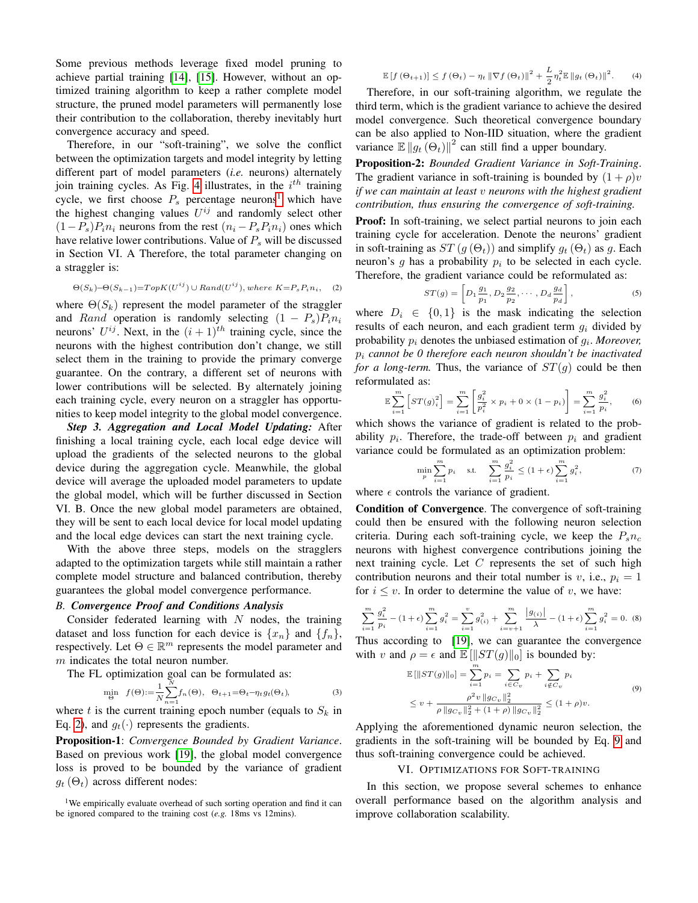Some previous methods leverage fixed model pruning to achieve partial training [\[14\]](#page-5-10), [\[15\]](#page-5-11). However, without an optimized training algorithm to keep a rather complete model structure, the pruned model parameters will permanently lose their contribution to the collaboration, thereby inevitably hurt convergence accuracy and speed.

Therefore, in our "soft-training", we solve the conflict between the optimization targets and model integrity by letting different part of model parameters (*i.e.* neurons) alternately join training cycles. As Fig. [4](#page-2-0) illustrates, in the  $i^{th}$  training cycle, we first choose  $P_s$  percentage neurons<sup>[1](#page-0-1)</sup> which have the highest changing values  $U^{ij}$  and randomly select other  $(1-P_s)P_in_i$  neurons from the rest  $(n_i-P_sP_in_i)$  ones which have relative lower contributions. Value of  $P_s$  will be discussed in Section VI. A Therefore, the total parameter changing on a straggler is:

<span id="page-3-0"></span>
$$
\Theta(S_k) - \Theta(S_{k-1}) = TopK(U^{ij}) \cup Rand(U^{ij}), where K = P_s P_i n_i,
$$
 (2)

where  $\Theta(S_k)$  represent the model parameter of the straggler and Rand operation is randomly selecting  $(1 - P_s)P_i n_i$ neurons'  $U^{ij}$ . Next, in the  $(i + 1)^{th}$  training cycle, since the neurons with the highest contribution don't change, we still select them in the training to provide the primary converge guarantee. On the contrary, a different set of neurons with lower contributions will be selected. By alternately joining each training cycle, every neuron on a straggler has opportunities to keep model integrity to the global model convergence.

*Step 3. Aggregation and Local Model Updating:* After finishing a local training cycle, each local edge device will upload the gradients of the selected neurons to the global device during the aggregation cycle. Meanwhile, the global device will average the uploaded model parameters to update the global model, which will be further discussed in Section VI. B. Once the new global model parameters are obtained, they will be sent to each local device for local model updating and the local edge devices can start the next training cycle.

With the above three steps, models on the stragglers adapted to the optimization targets while still maintain a rather complete model structure and balanced contribution, thereby guarantees the global model convergence performance.

#### *B. Convergence Proof and Conditions Analysis*

Consider federated learning with  $N$  nodes, the training dataset and loss function for each device is  $\{x_n\}$  and  $\{f_n\}$ , respectively. Let  $\Theta \in \mathbb{R}^m$  represents the model parameter and  $m$  indicates the total neuron number.

The FL optimization goal can be formulated as:

$$
\min_{\Theta} f(\Theta) := \frac{1}{N} \sum_{n=1}^{N} f_n(\Theta), \quad \Theta_{t+1} = \Theta_t - \eta_t g_t(\Theta_t), \tag{3}
$$

where t is the current training epoch number (equals to  $S_k$  in Eq. [2\)](#page-3-0), and  $g_t(\cdot)$  represents the gradients.

Proposition-1: *Convergence Bounded by Gradient Variance*. Based on previous work [\[19\]](#page-5-15), the global model convergence loss is proved to be bounded by the variance of gradient  $g_t(\Theta_t)$  across different nodes:

<sup>1</sup>We empirically evaluate overhead of such sorting operation and find it can be ignored compared to the training cost (*e.g.* 18ms vs 12mins).

$$
\mathbb{E}\left[f\left(\Theta_{t+1}\right)\right] \le f\left(\Theta_{t}\right) - \eta_{t} \left\|\nabla f\left(\Theta_{t}\right)\right\|^{2} + \frac{L}{2} \eta_{t}^{2} \mathbb{E}\left\|g_{t}\left(\Theta_{t}\right)\right\|^{2}.
$$
 (4)

Therefore, in our soft-training algorithm, we regulate the third term, which is the gradient variance to achieve the desired model convergence. Such theoretical convergence boundary can be also applied to Non-IID situation, where the gradient variance  $\mathbb{E} \|g_t(\Theta_t)\|^2$  can still find a upper boundary.

Proposition-2: *Bounded Gradient Variance in Soft-Training*. The gradient variance in soft-training is bounded by  $(1 + \rho)v$ *if we can maintain at least* v *neurons with the highest gradient contribution, thus ensuring the convergence of soft-training.*

Proof: In soft-training, we select partial neurons to join each training cycle for acceleration. Denote the neurons' gradient in soft-training as  $ST(g(\Theta_t))$  and simplify  $g_t(\Theta_t)$  as g. Each neuron's  $g$  has a probability  $p_i$  to be selected in each cycle. Therefore, the gradient variance could be reformulated as:

$$
ST(g) = \left[ D_1 \frac{g_1}{p_1}, D_2 \frac{g_2}{p_2}, \cdots, D_d \frac{g_d}{p_d} \right],
$$
 (5)

where  $D_i \in \{0, 1\}$  is the mask indicating the selection results of each neuron, and each gradient term  $g_i$  divided by probability  $p_i$  denotes the unbiased estimation of  $g_i$ . *Moreover*, p<sup>i</sup> *cannot be 0 therefore each neuron shouldn't be inactivated for a long-term.* Thus, the variance of  $ST(g)$  could be then reformulated as:

$$
\mathbb{E}\sum_{i=1}^{m} \left[ ST(g)_i^2 \right] = \sum_{i=1}^{m} \left[ \frac{g_i^2}{p_i^2} \times p_i + 0 \times (1 - p_i) \right] = \sum_{i=1}^{m} \frac{g_i^2}{p_i}, \quad (6)
$$

which shows the variance of gradient is related to the probability  $p_i$ . Therefore, the trade-off between  $p_i$  and gradient variance could be formulated as an optimization problem:

$$
\min_{p} \sum_{i=1}^{m} p_i \quad \text{s.t.} \quad \sum_{i=1}^{m} \frac{g_i^2}{p_i} \le (1+\epsilon) \sum_{i=1}^{m} g_i^2, \tag{7}
$$

where  $\epsilon$  controls the variance of gradient.

Condition of Convergence. The convergence of soft-training could then be ensured with the following neuron selection criteria. During each soft-training cycle, we keep the  $P_s n_c$ neurons with highest convergence contributions joining the next training cycle. Let  $C$  represents the set of such high contribution neurons and their total number is v, i.e.,  $p_i = 1$ for  $i \leq v$ . In order to determine the value of v, we have:

$$
\sum_{i=1}^{m} \frac{g_i^2}{p_i} - (1+\epsilon) \sum_{i=1}^{m} g_i^2 = \sum_{i=1}^{v} g_{(i)}^2 + \sum_{i=v+1}^{m} \frac{|g_{(i)}|}{\lambda} - (1+\epsilon) \sum_{i=1}^{m} g_i^2 = 0.
$$
 (8)

Thus according to [\[19\]](#page-5-15), we can guarantee the convergence with v and  $\rho = \epsilon$  and  $\mathbb{E}[\|ST(g)\|_0]$  is bounded by:

<span id="page-3-1"></span>
$$
\mathbb{E}[\|ST(g)\|_0] = \sum_{i=1}^m p_i = \sum_{i \in C_v} p_i + \sum_{i \notin C_v} p_i
$$
  
\n
$$
\leq v + \frac{\rho^2 v \|g_{C_v}\|_2^2}{\rho \|g_{C_v}\|_2^2 + (1 + \rho) \|g_{C_v}\|_2^2} \leq (1 + \rho)v.
$$
\n(9)

Applying the aforementioned dynamic neuron selection, the gradients in the soft-training will be bounded by Eq. [9](#page-3-1) and thus soft-training convergence could be achieved.

## VI. OPTIMIZATIONS FOR SOFT-TRAINING

In this section, we propose several schemes to enhance overall performance based on the algorithm analysis and improve collaboration scalability.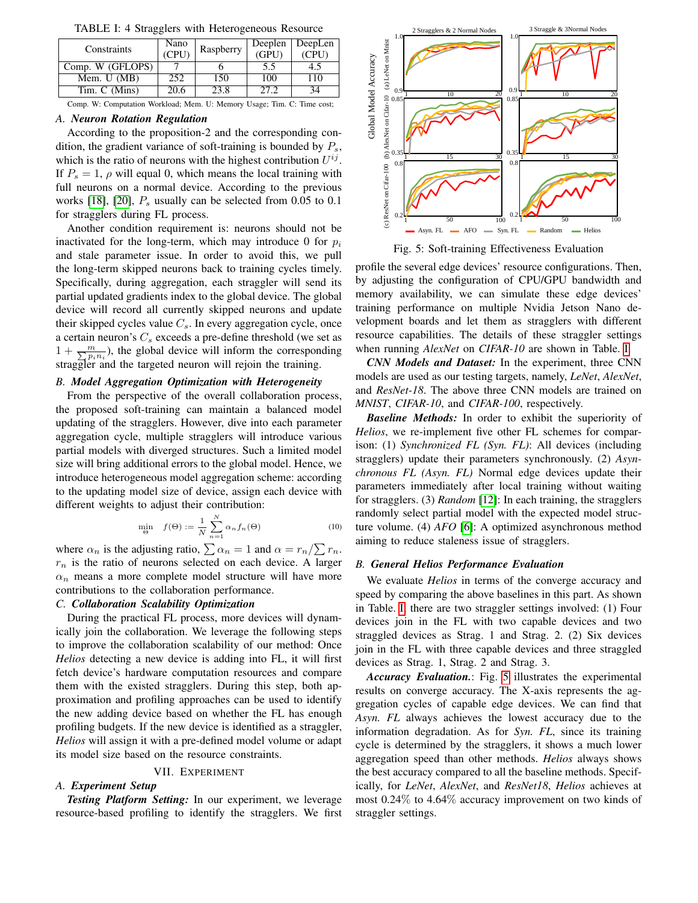<span id="page-4-0"></span>

|                  | Nano  |           | Deeplen | DeepLen |
|------------------|-------|-----------|---------|---------|
| Constraints      | (CPU) | Raspberry | (GPU)   | (CPU)   |
| Comp. W (GFLOPS) |       |           | 5.5     | ב.4     |
| Mem. U (MB)      | 252   | 150       | 100     | 110     |
| Tim. C (Mins)    | 20.6  | 23.8      | 27.2    | 34      |

TABLE I: 4 Stragglers with Heterogeneous Resource

Comp. W: Computation Workload; Mem. U: Memory Usage; Tim. C: Time cost;

#### *A. Neuron Rotation Regulation*

According to the proposition-2 and the corresponding condition, the gradient variance of soft-training is bounded by  $P_s$ , which is the ratio of neurons with the highest contribution  $U^{ij}$ . If  $P_s = 1$ ,  $\rho$  will equal 0, which means the local training with full neurons on a normal device. According to the previous works [\[18\]](#page-5-14), [\[20\]](#page-5-16),  $P_s$  usually can be selected from 0.05 to 0.1 for stragglers during FL process.

Another condition requirement is: neurons should not be inactivated for the long-term, which may introduce 0 for  $p_i$ and stale parameter issue. In order to avoid this, we pull the long-term skipped neurons back to training cycles timely. Specifically, during aggregation, each straggler will send its partial updated gradients index to the global device. The global device will record all currently skipped neurons and update their skipped cycles value  $C_s$ . In every aggregation cycle, once a certain neuron's  $C_s$  exceeds a pre-define threshold (we set as  $1 + \frac{m}{\sum p_i n_i}$ , the global device will inform the corresponding straggler and the targeted neuron will rejoin the training.

# *B. Model Aggregation Optimization with Heterogeneity*

From the perspective of the overall collaboration process, the proposed soft-training can maintain a balanced model updating of the stragglers. However, dive into each parameter aggregation cycle, multiple stragglers will introduce various partial models with diverged structures. Such a limited model size will bring additional errors to the global model. Hence, we introduce heterogeneous model aggregation scheme: according to the updating model size of device, assign each device with different weights to adjust their contribution:

$$
\min_{\Theta} f(\Theta) := \frac{1}{N} \sum_{n=1}^{N} \alpha_n f_n(\Theta) \tag{10}
$$

where  $\alpha_n$  is the adjusting ratio,  $\sum \alpha_n = 1$  and  $\alpha = r_n / \sum r_n$ .  $r_n$  is the ratio of neurons selected on each device. A larger  $\alpha_n$  means a more complete model structure will have more contributions to the collaboration performance.

#### *C. Collaboration Scalability Optimization*

During the practical FL process, more devices will dynamically join the collaboration. We leverage the following steps to improve the collaboration scalability of our method: Once *Helios* detecting a new device is adding into FL, it will first fetch device's hardware computation resources and compare them with the existed stragglers. During this step, both approximation and profiling approaches can be used to identify the new adding device based on whether the FL has enough profiling budgets. If the new device is identified as a straggler, *Helios* will assign it with a pre-defined model volume or adapt its model size based on the resource constraints.

## VII. EXPERIMENT

#### *A. Experiment Setup*

*Testing Platform Setting:* In our experiment, we leverage resource-based profiling to identify the stragglers. We first

<span id="page-4-1"></span>

Fig. 5: Soft-training Effectiveness Evaluation

profile the several edge devices' resource configurations. Then, by adjusting the configuration of CPU/GPU bandwidth and memory availability, we can simulate these edge devices' training performance on multiple Nvidia Jetson Nano development boards and let them as stragglers with different resource capabilities. The details of these straggler settings when running *AlexNet* on *CIFAR-10* are shown in Table. [I.](#page-4-0)

*CNN Models and Dataset:* In the experiment, three CNN models are used as our testing targets, namely, *LeNet*, *AlexNet*, and *ResNet-18*. The above three CNN models are trained on *MNIST*, *CIFAR-10*, and *CIFAR-100*, respectively.

*Baseline Methods:* In order to exhibit the superiority of *Helios*, we re-implement five other FL schemes for comparison: (1) *Synchronized FL (Syn. FL)*: All devices (including stragglers) update their parameters synchronously. (2) *Asynchronous FL (Asyn. FL)* Normal edge devices update their parameters immediately after local training without waiting for stragglers. (3) *Random* [\[12\]](#page-5-17): In each training, the stragglers randomly select partial model with the expected model structure volume. (4) *AFO* [\[6\]](#page-5-2): A optimized asynchronous method aiming to reduce staleness issue of stragglers.

## *B. General Helios Performance Evaluation*

We evaluate *Helios* in terms of the converge accuracy and speed by comparing the above baselines in this part. As shown in Table. [I,](#page-4-0) there are two straggler settings involved: (1) Four devices join in the FL with two capable devices and two straggled devices as Strag. 1 and Strag. 2. (2) Six devices join in the FL with three capable devices and three straggled devices as Strag. 1, Strag. 2 and Strag. 3.

*Accuracy Evaluation.*: Fig. [5](#page-4-1) illustrates the experimental results on converge accuracy. The X-axis represents the aggregation cycles of capable edge devices. We can find that *Asyn. FL* always achieves the lowest accuracy due to the information degradation. As for *Syn. FL*, since its training cycle is determined by the stragglers, it shows a much lower aggregation speed than other methods. *Helios* always shows the best accuracy compared to all the baseline methods. Specifically, for *LeNet*, *AlexNet*, and *ResNet18*, *Helios* achieves at most 0.24% to 4.64% accuracy improvement on two kinds of straggler settings.